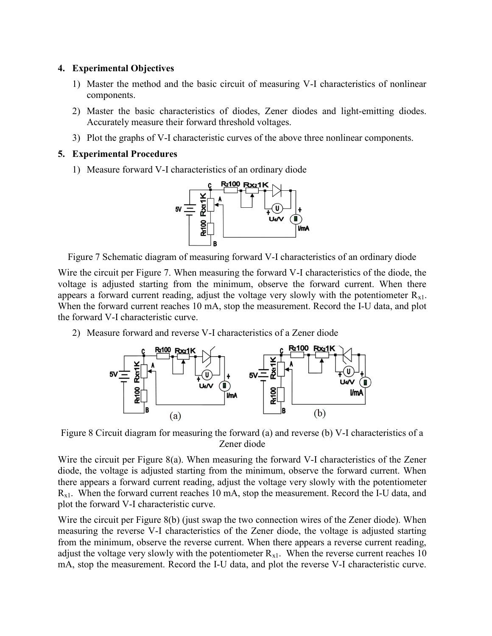## 4. Experimental Objectives

- 1) Master the method and the basic circuit of measuring V-I characteristics of nonlinear components.
- 2) Master the basic characteristics of diodes, Zener diodes and light-emitting diodes. Accurately measure their forward threshold voltages.
- 3) Plot the graphs of V-I characteristic curves of the above three nonlinear components.

## 5. Experimental Procedures

1) Measure forward V-I characteristics of an ordinary diode



Figure 7 Schematic diagram of measuring forward V-I characteristics of an ordinary diode

Wire the circuit per Figure 7. When measuring the forward V-I characteristics of the diode, the voltage is adjusted starting from the minimum, observe the forward current. When there appears a forward current reading, adjust the voltage very slowly with the potentiometer  $R_{x1}$ . When the forward current reaches 10 mA, stop the measurement. Record the I-U data, and plot the forward V-I characteristic curve.

2) Measure forward and reverse V-I characteristics of a Zener diode



Figure 8 Circuit diagram for measuring the forward (a) and reverse (b) V-I characteristics of a Zener diode

Wire the circuit per Figure 8(a). When measuring the forward V-I characteristics of the Zener diode, the voltage is adjusted starting from the minimum, observe the forward current. When there appears a forward current reading, adjust the voltage very slowly with the potentiometer  $R_{x1}$ . When the forward current reaches 10 mA, stop the measurement. Record the I-U data, and plot the forward V-I characteristic curve.

Wire the circuit per Figure 8(b) (just swap the two connection wires of the Zener diode). When measuring the reverse V-I characteristics of the Zener diode, the voltage is adjusted starting from the minimum, observe the reverse current. When there appears a reverse current reading, adjust the voltage very slowly with the potentiometer  $R_{x1}$ . When the reverse current reaches 10 mA, stop the measurement. Record the I-U data, and plot the reverse V-I characteristic curve.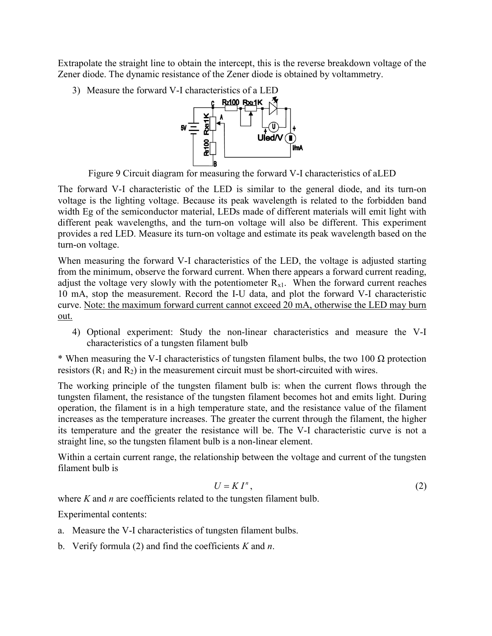Extrapolate the straight line to obtain the intercept, this is the reverse breakdown voltage of the Zener diode. The dynamic resistance of the Zener diode is obtained by voltammetry.

3) Measure the forward V-I characteristics of a LED



Figure 9 Circuit diagram for measuring the forward V-I characteristics of aLED

The forward V-I characteristic of the LED is similar to the general diode, and its turn-on voltage is the lighting voltage. Because its peak wavelength is related to the forbidden band width Eg of the semiconductor material, LEDs made of different materials will emit light with different peak wavelengths, and the turn-on voltage will also be different. This experiment provides a red LED. Measure its turn-on voltage and estimate its peak wavelength based on the turn-on voltage.

When measuring the forward V-I characteristics of the LED, the voltage is adjusted starting from the minimum, observe the forward current. When there appears a forward current reading, adjust the voltage very slowly with the potentiometer  $R_{x1}$ . When the forward current reaches 10 mA, stop the measurement. Record the I-U data, and plot the forward V-I characteristic curve. Note: the maximum forward current cannot exceed 20 mA, otherwise the LED may burn out.

4) Optional experiment: Study the non-linear characteristics and measure the V-I characteristics of a tungsten filament bulb

\* When measuring the V-I characteristics of tungsten filament bulbs, the two 100  $\Omega$  protection resistors  $(R_1 \text{ and } R_2)$  in the measurement circuit must be short-circuited with wires.

The working principle of the tungsten filament bulb is: when the current flows through the tungsten filament, the resistance of the tungsten filament becomes hot and emits light. During operation, the filament is in a high temperature state, and the resistance value of the filament increases as the temperature increases. The greater the current through the filament, the higher its temperature and the greater the resistance will be. The V-I characteristic curve is not a straight line, so the tungsten filament bulb is a non-linear element.

Within a certain current range, the relationship between the voltage and current of the tungsten filament bulb is

$$
U = K I^n, \tag{2}
$$

where  $K$  and  $n$  are coefficients related to the tungsten filament bulb.

Experimental contents:

- a. Measure the V-I characteristics of tungsten filament bulbs.
- b. Verify formula (2) and find the coefficients  $K$  and  $n$ .